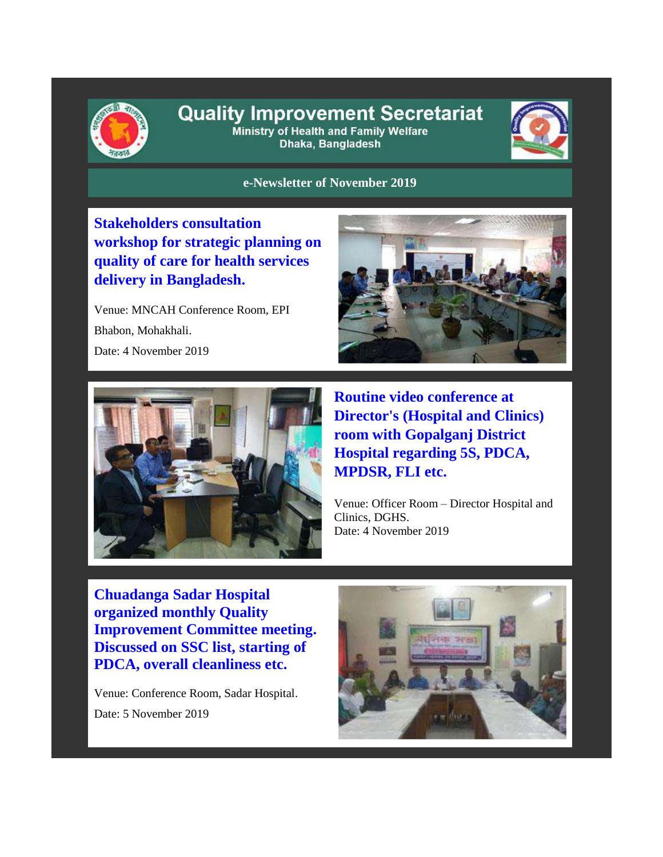

#### **Quality Improvement Secretariat** Ministry of Health and Family Welfare

Dhaka, Bangladesh



#### **e-Newsletter of November 2019**

**Stakeholders consultation workshop for strategic planning on quality of care for health services delivery in Bangladesh.** 

Venue: MNCAH Conference Room, EPI Bhabon, Mohakhali. Date: 4 November 2019





**Routine video conference at Director's (Hospital and Clinics) room with Gopalganj District Hospital regarding 5S, PDCA, MPDSR, FLI etc.** 

Venue: Officer Room – Director Hospital and Clinics, DGHS. Date: 4 November 2019

**Chuadanga Sadar Hospital organized monthly Quality Improvement Committee meeting. Discussed on SSC list, starting of PDCA, overall cleanliness etc.**

Venue: Conference Room, Sadar Hospital. Date: 5 November 2019

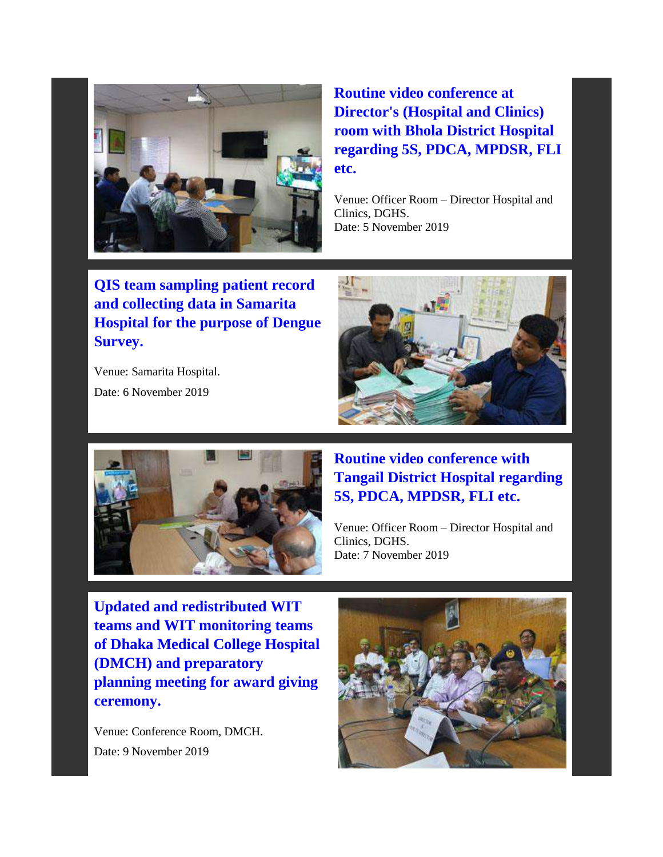

**Routine video conference at Director's (Hospital and Clinics) room with Bhola District Hospital regarding 5S, PDCA, MPDSR, FLI etc.**

Venue: Officer Room – Director Hospital and Clinics, DGHS. Date: 5 November 2019

**QIS team sampling patient record and collecting data in Samarita Hospital for the purpose of Dengue Survey.** 

Venue: Samarita Hospital. Date: 6 November 2019





# **Routine video conference with Tangail District Hospital regarding 5S, PDCA, MPDSR, FLI etc.**

Venue: Officer Room – Director Hospital and Clinics, DGHS. Date: 7 November 2019

**Updated and redistributed WIT teams and WIT monitoring teams of Dhaka Medical College Hospital (DMCH) and preparatory planning meeting for award giving ceremony.**

Venue: Conference Room, DMCH. Date: 9 November 2019

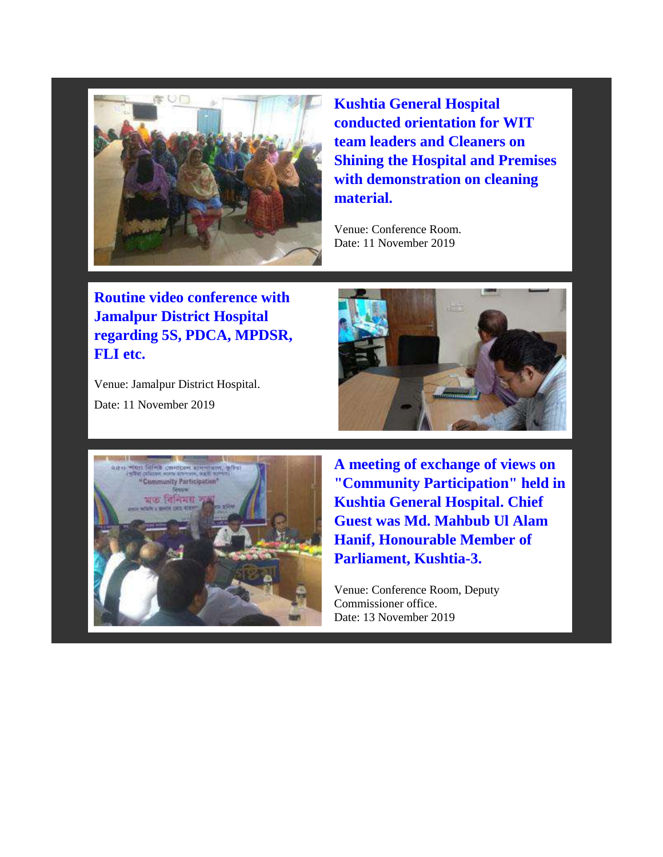

**Kushtia General Hospital conducted orientation for WIT team leaders and Cleaners on Shining the Hospital and Premises with demonstration on cleaning material.**

Venue: Conference Room. Date: 11 November 2019

**Routine video conference with Jamalpur District Hospital regarding 5S, PDCA, MPDSR, FLI etc.** 

Venue: Jamalpur District Hospital. Date: 11 November 2019





**A meeting of exchange of views on "Community Participation" held in Kushtia General Hospital. Chief Guest was Md. Mahbub Ul Alam Hanif, Honourable Member of Parliament, Kushtia-3.**

Venue: Conference Room, Deputy Commissioner office. Date: 13 November 2019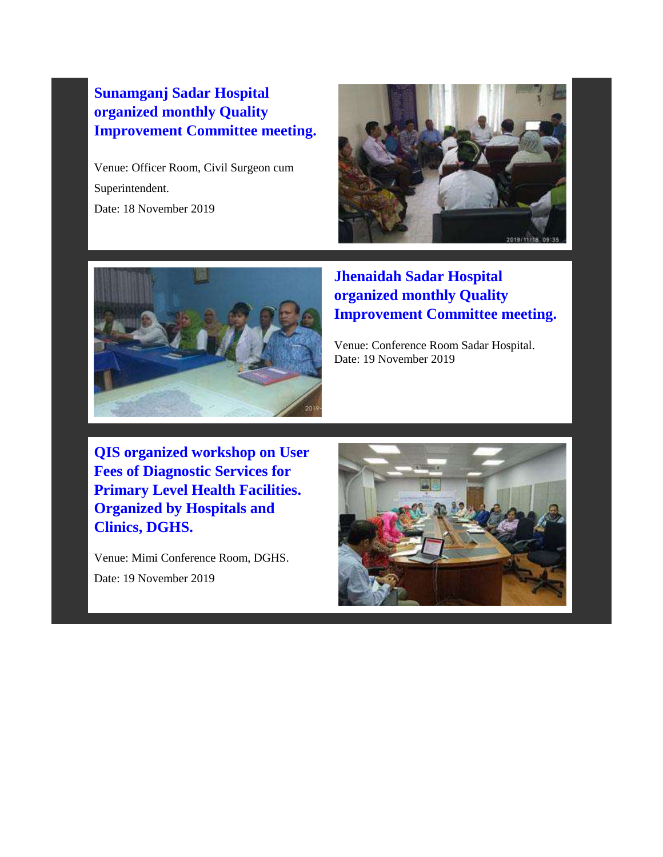## **Sunamganj Sadar Hospital organized monthly Quality Improvement Committee meeting.**

Venue: Officer Room, Civil Surgeon cum Superintendent. Date: 18 November 2019





# **Jhenaidah Sadar Hospital organized monthly Quality Improvement Committee meeting.**

Venue: Conference Room Sadar Hospital. Date: 19 November 2019

**QIS organized workshop on User Fees of Diagnostic Services for Primary Level Health Facilities. Organized by Hospitals and Clinics, DGHS.** 

Venue: Mimi Conference Room, DGHS. Date: 19 November 2019

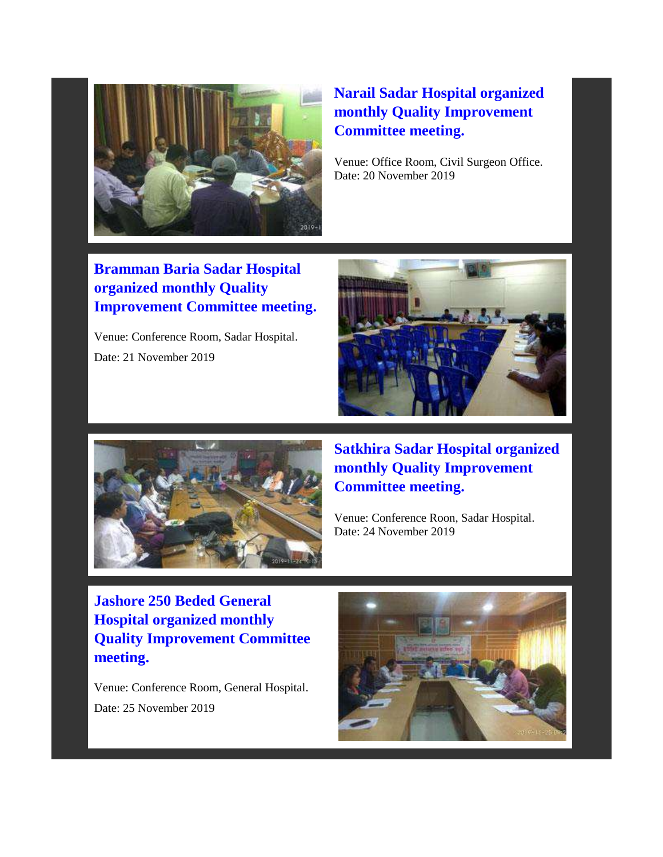

# **Narail Sadar Hospital organized monthly Quality Improvement Committee meeting.**

Venue: Office Room, Civil Surgeon Office. Date: 20 November 2019

# **Bramman Baria Sadar Hospital organized monthly Quality Improvement Committee meeting.**

Venue: Conference Room, Sadar Hospital. Date: 21 November 2019





**Satkhira Sadar Hospital organized monthly Quality Improvement Committee meeting.**

Venue: Conference Roon, Sadar Hospital. Date: 24 November 2019

**Jashore 250 Beded General Hospital organized monthly Quality Improvement Committee meeting.** 

Venue: Conference Room, General Hospital. Date: 25 November 2019

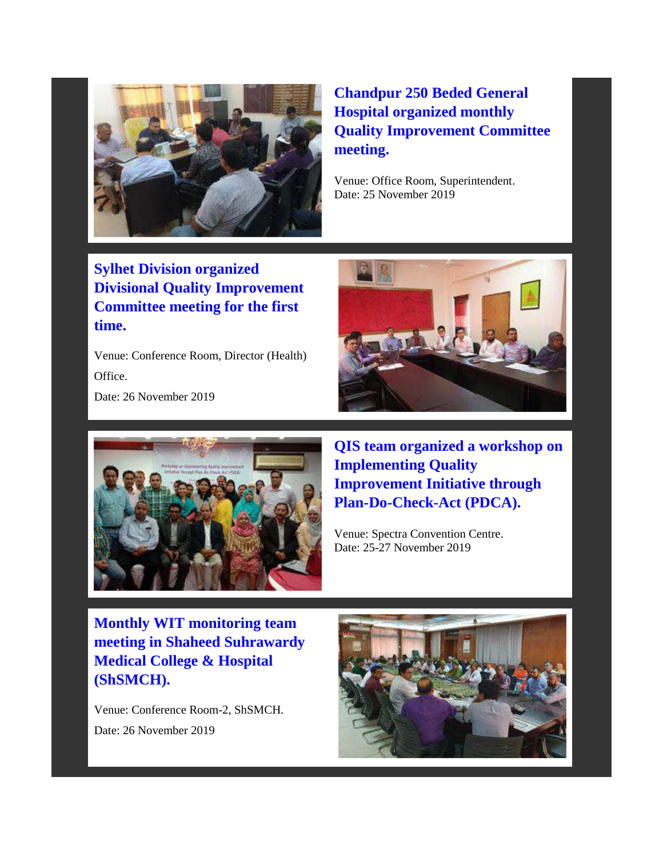

# **Chandpur 250 Beded General Hospital organized monthly Quality Improvement Committee meeting.**

Venue: Office Room, Superintendent. Date: 25 November 2019

**Sylhet Division organized Divisional Quality Improvement Committee meeting for the first time.** 

Venue: Conference Room, Director (Health) **Office** 

Date: 26 November 2019





**QIS team organized a workshop on Implementing Quality Improvement Initiative through Plan-Do-Check-Act (PDCA).** 

Venue: Spectra Convention Centre. Date: 25-27 November 2019

**Monthly WIT monitoring team meeting in Shaheed Suhrawardy Medical College & Hospital (ShSMCH).** 

Venue: Conference Room-2, ShSMCH. Date: 26 November 2019